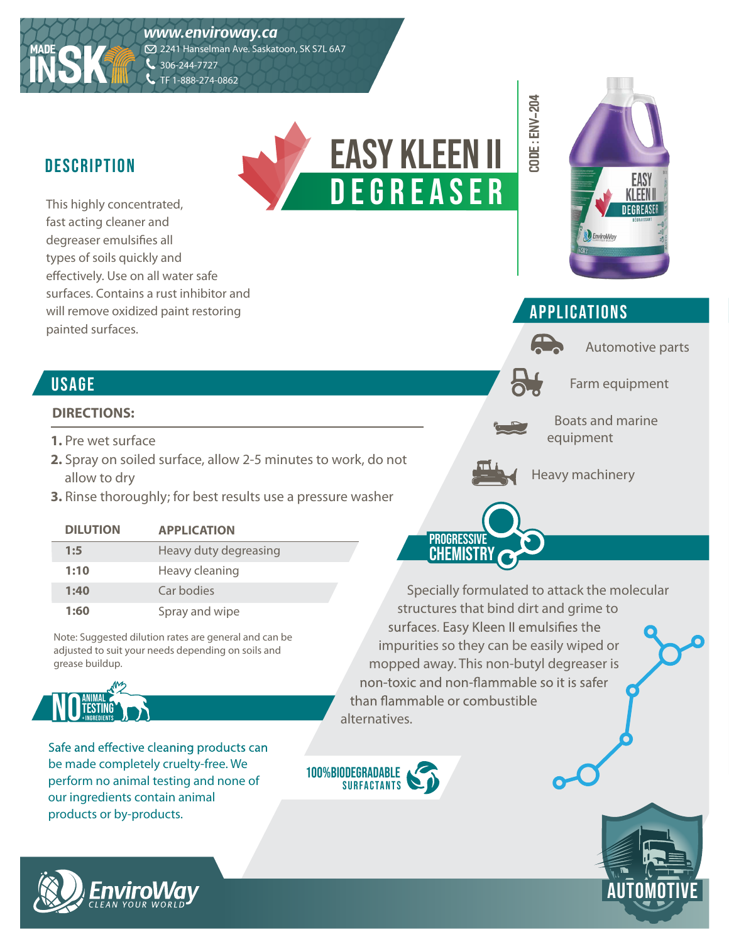

# DESCRIPTION **CONSUMING THE CONSUMING SESCRIPTION**

**MADE**

**INSK**

This highly concentrated, fast acting cleaner and degreaser emulsifies all types of soils quickly and effectively. Use on all water safe surfaces. Contains a rust inhibitor and will remove oxidized paint restoring painted surfaces.



#### **APPLICATIONS**

**O DE : e n v-204**

Automotive parts

Farm equipment

Boats and marine equipment



**PROGRESSIVE CHEMISTRY** 

D E G R E A S E R

Heavy machinery

**USAGE** 

#### **DIRECTIONS:**

- **1.** Pre wet surface
- **2.** Spray on soiled surface, allow 2-5 minutes to work, do not allow to dry
- **3.** Rinse thoroughly; for best results use a pressure washer

| <b>DILUTION</b> | <b>APPLICATION</b>    |
|-----------------|-----------------------|
| 1:5             | Heavy duty degreasing |
| 1:10            | Heavy cleaning        |
| 1:40            | Car bodies            |
| 1:60            | Spray and wipe        |

Note: Suggested dilution rates are general and can be adjusted to suit your needs depending on soils and grease buildup.



Safe and effective cleaning products can be made completely cruelty-free. We perform no animal testing and none of our ingredients contain animal products or by-products.